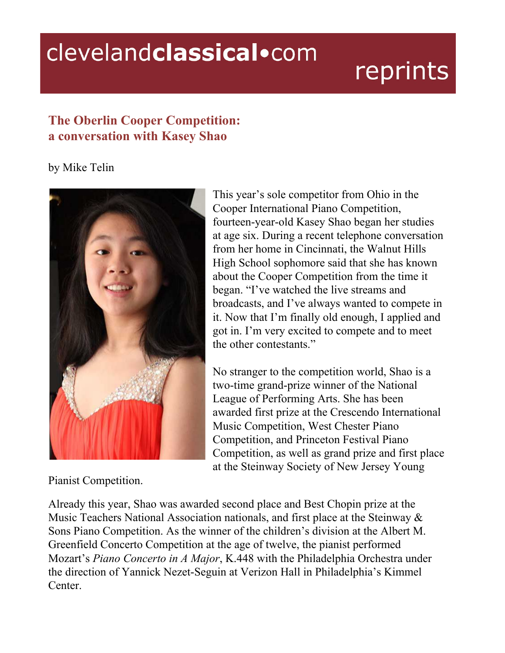## clevelandclassical.com

## reprints

## **The Oberlin Cooper Competition: a conversation with Kasey Shao**

## by Mike Telin



This year's sole competitor from Ohio in the Cooper International Piano Competition, fourteen-year-old Kasey Shao began her studies at age six. During a recent telephone conversation from her home in Cincinnati, the Walnut Hills High School sophomore said that she has known about the Cooper Competition from the time it began. "I've watched the live streams and broadcasts, and I've always wanted to compete in it. Now that I'm finally old enough, I applied and got in. I'm very excited to compete and to meet the other contestants."

No stranger to the competition world, Shao is a two-time grand-prize winner of the National League of Performing Arts. She has been awarded first prize at the Crescendo International Music Competition, West Chester Piano Competition, and Princeton Festival Piano Competition, as well as grand prize and first place at the Steinway Society of New Jersey Young

Pianist Competition.

Already this year, Shao was awarded second place and Best Chopin prize at the Music Teachers National Association nationals, and first place at the Steinway & Sons Piano Competition. As the winner of the children's division at the Albert M. Greenfield Concerto Competition at the age of twelve, the pianist performed Mozart's *Piano Concerto in A Major*, K.448 with the Philadelphia Orchestra under the direction of Yannick Nezet-Seguin at Verizon Hall in Philadelphia's Kimmel Center.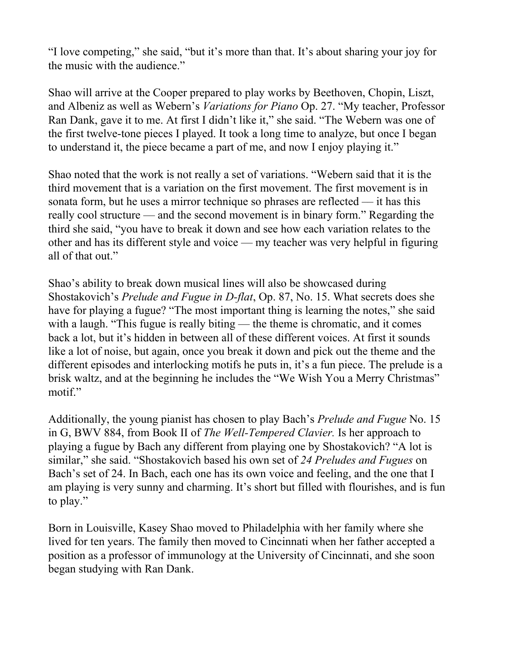"I love competing," she said, "but it's more than that. It's about sharing your joy for the music with the audience."

Shao will arrive at the Cooper prepared to play works by Beethoven, Chopin, Liszt, and Albeniz as well as Webern's *Variations for Piano* Op. 27. "My teacher, Professor Ran Dank, gave it to me. At first I didn't like it," she said. "The Webern was one of the first twelve-tone pieces I played. It took a long time to analyze, but once I began to understand it, the piece became a part of me, and now I enjoy playing it."

Shao noted that the work is not really a set of variations. "Webern said that it is the third movement that is a variation on the first movement. The first movement is in sonata form, but he uses a mirror technique so phrases are reflected  $-$  it has this really cool structure –– and the second movement is in binary form." Regarding the third she said, "you have to break it down and see how each variation relates to the other and has its different style and voice — my teacher was very helpful in figuring all of that out."

Shao's ability to break down musical lines will also be showcased during Shostakovich's *Prelude and Fugue in D-flat*, Op. 87, No. 15. What secrets does she have for playing a fugue? "The most important thing is learning the notes," she said with a laugh. "This fugue is really biting — the theme is chromatic, and it comes back a lot, but it's hidden in between all of these different voices. At first it sounds like a lot of noise, but again, once you break it down and pick out the theme and the different episodes and interlocking motifs he puts in, it's a fun piece. The prelude is a brisk waltz, and at the beginning he includes the "We Wish You a Merry Christmas" motif."

Additionally, the young pianist has chosen to play Bach's *Prelude and Fugue* No. 15 in G, BWV 884, from Book II of *The Well-Tempered Clavier.* Is her approach to playing a fugue by Bach any different from playing one by Shostakovich? "A lot is similar," she said. "Shostakovich based his own set of *24 Preludes and Fugues* on Bach's set of 24. In Bach, each one has its own voice and feeling, and the one that I am playing is very sunny and charming. It's short but filled with flourishes, and is fun to play."

Born in Louisville, Kasey Shao moved to Philadelphia with her family where she lived for ten years. The family then moved to Cincinnati when her father accepted a position as a professor of immunology at the University of Cincinnati, and she soon began studying with Ran Dank.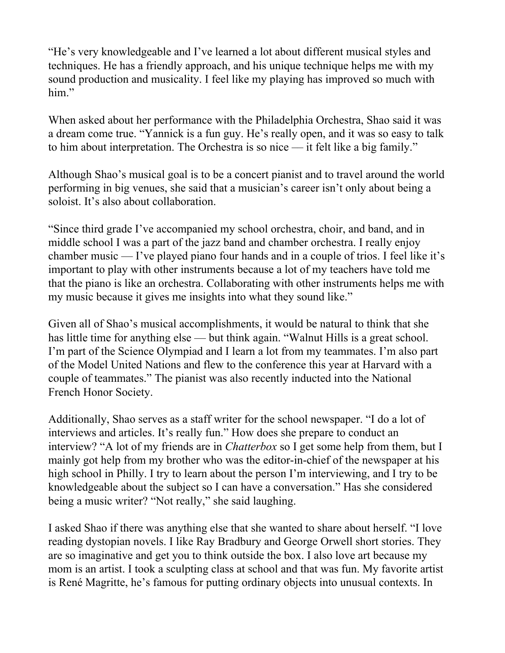"He's very knowledgeable and I've learned a lot about different musical styles and techniques. He has a friendly approach, and his unique technique helps me with my sound production and musicality. I feel like my playing has improved so much with him."

When asked about her performance with the Philadelphia Orchestra, Shao said it was a dream come true. "Yannick is a fun guy. He's really open, and it was so easy to talk to him about interpretation. The Orchestra is so nice –– it felt like a big family."

Although Shao's musical goal is to be a concert pianist and to travel around the world performing in big venues, she said that a musician's career isn't only about being a soloist. It's also about collaboration.

"Since third grade I've accompanied my school orchestra, choir, and band, and in middle school I was a part of the jazz band and chamber orchestra. I really enjoy chamber music — I've played piano four hands and in a couple of trios. I feel like it's important to play with other instruments because a lot of my teachers have told me that the piano is like an orchestra. Collaborating with other instruments helps me with my music because it gives me insights into what they sound like."

Given all of Shao's musical accomplishments, it would be natural to think that she has little time for anything else — but think again. "Walnut Hills is a great school. I'm part of the Science Olympiad and I learn a lot from my teammates. I'm also part of the Model United Nations and flew to the conference this year at Harvard with a couple of teammates." The pianist was also recently inducted into the National French Honor Society.

Additionally, Shao serves as a staff writer for the school newspaper. "I do a lot of interviews and articles. It's really fun." How does she prepare to conduct an interview? "A lot of my friends are in *Chatterbox* so I get some help from them, but I mainly got help from my brother who was the editor-in-chief of the newspaper at his high school in Philly. I try to learn about the person I'm interviewing, and I try to be knowledgeable about the subject so I can have a conversation." Has she considered being a music writer? "Not really," she said laughing.

I asked Shao if there was anything else that she wanted to share about herself. "I love reading dystopian novels. I like Ray Bradbury and George Orwell short stories. They are so imaginative and get you to think outside the box. I also love art because my mom is an artist. I took a sculpting class at school and that was fun. My favorite artist is René Magritte, he's famous for putting ordinary objects into unusual contexts. In